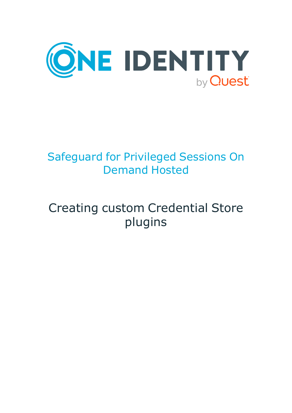

# Safeguard for Privileged Sessions On Demand Hosted

# Creating custom Credential Store plugins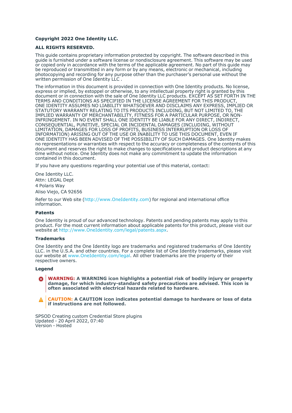#### **Copyright 2022 One Identity LLC.**

#### **ALL RIGHTS RESERVED.**

This guide contains proprietary information protected by copyright. The software described in this guide is furnished under a software license or nondisclosure agreement. This software may be used or copied only in accordance with the terms of the applicable agreement. No part of this guide may be reproduced or transmitted in any form or by any means, electronic or mechanical, including photocopying and recording for any purpose other than the purchaser's personal use without the written permission of One Identity LLC .

The information in this document is provided in connection with One Identity products. No license, express or implied, by estoppel or otherwise, to any intellectual property right is granted by this document or in connection with the sale of One Identity LLC products. EXCEPT AS SET FORTH IN THE TERMS AND CONDITIONS AS SPECIFIED IN THE LICENSE AGREEMENT FOR THIS PRODUCT, ONE IDENTITY ASSUMES NO LIABILITY WHATSOEVER AND DISCLAIMS ANY EXPRESS, IMPLIED OR STATUTORY WARRANTY RELATING TO ITS PRODUCTS INCLUDING, BUT NOT LIMITED TO, THE IMPLIED WARRANTY OF MERCHANTABILITY, FITNESS FOR A PARTICULAR PURPOSE, OR NON-INFRINGEMENT. IN NO EVENT SHALL ONE IDENTITY BE LIABLE FOR ANY DIRECT, INDIRECT, CONSEQUENTIAL, PUNITIVE, SPECIAL OR INCIDENTAL DAMAGES (INCLUDING, WITHOUT LIMITATION, DAMAGES FOR LOSS OF PROFITS, BUSINESS INTERRUPTION OR LOSS OF INFORMATION) ARISING OUT OF THE USE OR INABILITY TO USE THIS DOCUMENT, EVEN IF ONE IDENTITY HAS BEEN ADVISED OF THE POSSIBILITY OF SUCH DAMAGES. One Identity makes no representations or warranties with respect to the accuracy or completeness of the contents of this document and reserves the right to make changes to specifications and product descriptions at any time without notice. One Identity does not make any commitment to update the information contained in this document.

If you have any questions regarding your potential use of this material, contact:

One Identity LLC. Attn: LEGAL Dept 4 Polaris Way Aliso Viejo, CA 92656

Refer to our Web site [\(http://www.OneIdentity.com](http://www.oneidentity.com/)) for regional and international office information.

#### **Patents**

One Identity is proud of our advanced technology. Patents and pending patents may apply to this product. For the most current information about applicable patents for this product, please visit our website at [http://www.OneIdentity.com/legal/patents.aspx.](http://www.oneidentity.com/legal/patents.aspx)

#### **Trademarks**

One Identity and the One Identity logo are trademarks and registered trademarks of One Identity LLC. in the U.S.A. and other countries. For a complete list of One Identity trademarks, please visit our website at [www.OneIdentity.com/legal](http://www.oneidentity.com/legal). All other trademarks are the property of their respective owners.

#### **Legend**

**WARNING: A WARNING icon highlights a potential risk of bodily injury or property** œ **damage, for which industry-standard safety precautions are advised. This icon is often associated with electrical hazards related to hardware.**

**CAUTION: A CAUTION icon indicates potential damage to hardware or loss of data if instructions are not followed.**

SPSOD Creating custom Credential Store plugins Updated - 20 April 2022, 07:40 Version - Hosted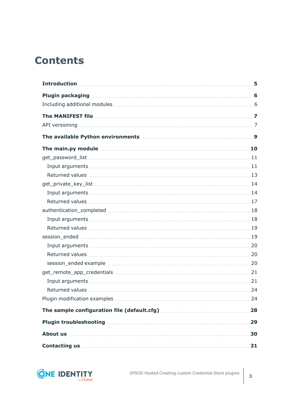# **Contents**

| The main.py module measure and the main of the main of the main of the main of the main of the main of the main of the main of the main of the main of the main of the main of the main of the main of the main of the main of                                                                 |     |
|------------------------------------------------------------------------------------------------------------------------------------------------------------------------------------------------------------------------------------------------------------------------------------------------|-----|
|                                                                                                                                                                                                                                                                                                |     |
|                                                                                                                                                                                                                                                                                                |     |
|                                                                                                                                                                                                                                                                                                |     |
|                                                                                                                                                                                                                                                                                                |     |
|                                                                                                                                                                                                                                                                                                |     |
|                                                                                                                                                                                                                                                                                                |     |
|                                                                                                                                                                                                                                                                                                |     |
|                                                                                                                                                                                                                                                                                                |     |
|                                                                                                                                                                                                                                                                                                |     |
|                                                                                                                                                                                                                                                                                                |     |
|                                                                                                                                                                                                                                                                                                |     |
|                                                                                                                                                                                                                                                                                                |     |
|                                                                                                                                                                                                                                                                                                |     |
|                                                                                                                                                                                                                                                                                                |     |
|                                                                                                                                                                                                                                                                                                |     |
|                                                                                                                                                                                                                                                                                                |     |
|                                                                                                                                                                                                                                                                                                |     |
|                                                                                                                                                                                                                                                                                                |     |
|                                                                                                                                                                                                                                                                                                | .29 |
| About us <b>contract the contract of the contract of the contract of the contract of the contract of the contract of the contract of the contract of the contract of the contract of the contract of the contract of the contrac</b>                                                           | 30  |
| Contacting us <b>contacting</b> us <b>contacting</b> us <b>contacting</b> us <b>contacting</b> us <b>contacting</b> us <b>contacting</b> us <b>contacting</b> us <b>contacting</b> us <b>contacting</b> us <b>contacting</b> us <b>contacting</b> us <b>contacting</b> us <b>contacting</b> us | 31  |

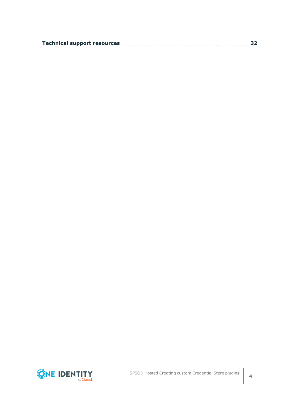|  | Technical support resources <b>members and the contract of the set of the set of the set of the set of the set of t</b> |  |
|--|-------------------------------------------------------------------------------------------------------------------------|--|
|--|-------------------------------------------------------------------------------------------------------------------------|--|

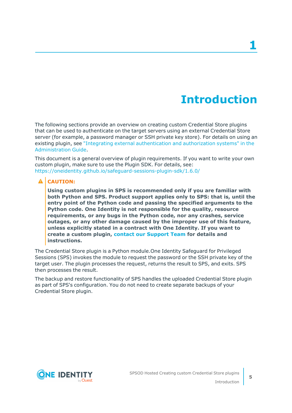# **Introduction**

<span id="page-4-0"></span>The following sections provide an overview on creating custom Credential Store plugins that can be used to authenticate on the target servers using an external Credential Store server (for example, a password manager or SSH private key store). For details on using an existing plugin, see "Integrating external [authentication](https://support.oneidentity.com/technical-documents/safeguard-for-privileged-sessions/6.13.1/administration-guide/advanced-authentication-and-authorization-techniques/integrating-external-authentication-and-authorization-systems/) and authorization systems" in the [Administration](https://support.oneidentity.com/technical-documents/safeguard-for-privileged-sessions/6.13.1/administration-guide/advanced-authentication-and-authorization-techniques/integrating-external-authentication-and-authorization-systems/) Guide.

This document is a general overview of plugin requirements. If you want to write your own custom plugin, make sure to use the Plugin SDK. For details, see: <https://oneidentity.github.io/safeguard-sessions-plugin-sdk/1.6.0/>

### **A** CAUTION:

**Using custom plugins in SPS is recommended only if you are familiar with both Python and SPS. Product support applies only to SPS: that is, until the entry point of the Python code and passing the specified arguments to the Python code. One Identity is not responsible for the quality, resource requirements, or any bugs in the Python code, nor any crashes, service outages, or any other damage caused by the improper use of this feature, unless explicitly stated in a contract with One Identity. If you want to create a custom plugin, contact our [Support](https://support.oneidentity.com/one-identity-safeguard-for-privileged-sessions) Team for details and instructions.**

The Credential Store plugin is a Python module.One Identity Safeguard for Privileged Sessions (SPS) invokes the module to request the password or the SSH private key of the target user. The plugin processes the request, returns the result to SPS, and exits. SPS then processes the result.

The backup and restore functionality of SPS handles the uploaded Credential Store plugin as part of SPS's configuration. You do not need to create separate backups of your Credential Store plugin.

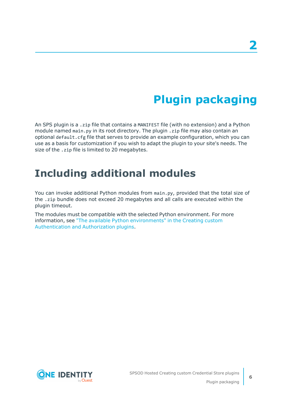# **Plugin packaging**

<span id="page-5-0"></span>An SPS plugin is a .zip file that contains a MANIFEST file (with no extension) and a Python module named main.py in its root directory. The plugin .zip file may also contain an optional default.cfg file that serves to provide an example configuration, which you can use as a basis for customization if you wish to adapt the plugin to your site's needs. The size of the .zip file is limited to 20 megabytes.

## <span id="page-5-1"></span>**Including additional modules**

You can invoke additional Python modules from main.py, provided that the total size of the .zip bundle does not exceed 20 megabytes and all calls are executed within the plugin timeout.

The modules must be compatible with the selected Python environment. For more information, see "The available Python [environments"](https://support.oneidentity.com/technical-documents/safeguard-for-privileged-sessions/6.13.1/creating-custom-authentication-and-authorization-plugins/) in the Creating custom [Authentication](https://support.oneidentity.com/technical-documents/safeguard-for-privileged-sessions/6.13.1/creating-custom-authentication-and-authorization-plugins/) and Authorization plugins.



**6**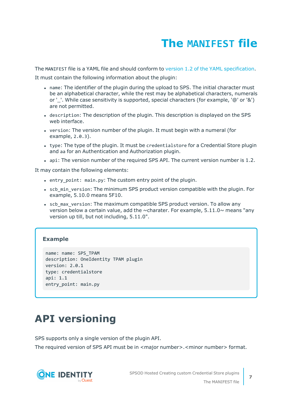# **The MANIFEST file**

<span id="page-6-0"></span>The MANIFEST file is a YAML file and should conform to version 1.2 of the YAML [specification.](http://yaml.org/spec/)

It must contain the following information about the plugin:

- name: The identifier of the plugin during the upload to SPS. The initial character must be an alphabetical character, while the rest may be alphabetical characters, numerals or '. While case sensitivity is supported, special characters (for example, '@' or '&') are not permitted.
- description: The description of the plugin. This description is displayed on the SPS web interface.
- version: The version number of the plugin. It must begin with a numeral (for example, 2.0.3).
- type: The type of the plugin. It must be credentialstore for a Credential Store plugin and aa for an Authentication and Authorization plugin.
- api: The version number of the required SPS API. The current version number is 1.2.

It may contain the following elements:

- entry point: main.py: The custom entry point of the plugin.
- scb min version: The minimum SPS product version compatible with the plugin. For example, 5.10.0 means 5F10.
- scb max version: The maximum compatible SPS product version. To allow any version below a certain value, add the  $\sim$ charater. For example, 5.11.0 $\sim$  means "any version up till, but not including, 5.11.0".

### **Example**

```
name: name: SPS_TPAM
description: OneIdentity TPAM plugin
version: 2.0.1
type: credentialstore
api: 1.1
entry_point: main.py
```
## <span id="page-6-1"></span>**API versioning**

SPS supports only a single version of the plugin API.

The required version of SPS API must be in <major number>.<minor number> format.

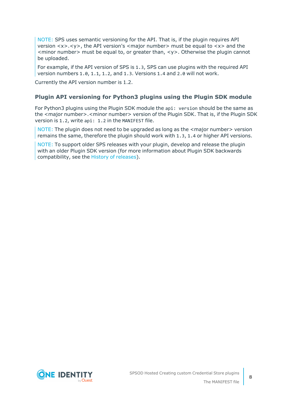NOTE: SPS uses semantic versioning for the API. That is, if the plugin requires API version <x>.<y>, the API version's <major number> must be equal to <x> and the  $\leq$  minor number  $\geq$  must be equal to, or greater than,  $\lt$ y  $\geq$ . Otherwise the plugin cannot be uploaded.

For example, if the API version of SPS is 1.3, SPS can use plugins with the required API version numbers 1.0, 1.1, 1.2, and 1.3. Versions 1.4 and 2.0 will not work.

Currently the API version number is 1.2.

### **Plugin API versioning for Python3 plugins using the Plugin SDK module**

For Python3 plugins using the Plugin SDK module the api: version should be the same as the <major number>.<minor number> version of the Plugin SDK. That is, if the Plugin SDK version is 1.2, write api: 1.2 in the MANIFEST file.

NOTE: The plugin does not need to be upgraded as long as the <major number> version remains the same, therefore the plugin should work with 1.3, 1.4 or higher API versions.

NOTE: To support older SPS releases with your plugin, develop and release the plugin with an older Plugin SDK version (for more information about Plugin SDK backwards compatibility, see the History of [releases](https://oneidentity.github.io/safeguard-sessions-plugin-sdk/latest/history.html)).

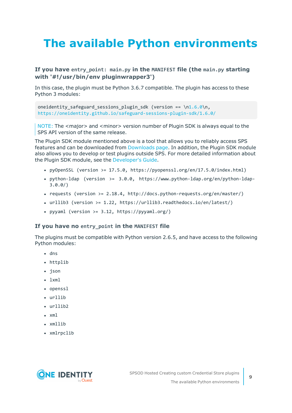# <span id="page-8-0"></span>**The available Python environments**

### **If you have entry\_point: main.py in the MANIFEST file (the main.py starting with '#!/usr/bin/env pluginwrapper3')**

In this case, the plugin must be Python 3.6.7 compatible. The plugin has access to these Python 3 modules:

oneidentity safeguard sessions plugin sdk (version == \[n1.6.0\](https://oneidentity.github.io/safeguard-sessions-plugin-sdk/1.6.0/index.html)n, <https://oneidentity.github.io/safeguard-sessions-plugin-sdk/1.6.0/>

NOTE: The <major> and <minor> version number of Plugin SDK is always equal to the SPS API version of the same release.

The Plugin SDK module mentioned above is a tool that allows you to reliably access SPS features and can be downloaded from [Downloads](https://support.oneidentity.com/my-downloads) page. In addition, the Plugin SDK module also allows you to develop or test plugins outside SPS. For more detailed information about the Plugin SDK module, see the [Developer's](https://oneidentity.github.io/safeguard-sessions-plugin-sdk/1.2.0/index.html) Guide.

- pyOpenSSL (version >=  $17.5.0$ , https://pyopenssl.org/en/17.5.0/index.html)
- python-ldap (version >=  $3.0.0$ , https://www.python-ldap.org/en/python-ldap-3.0.0/)
- requests (version  $>= 2.18.4$ , http://docs.python-requests.org/en/master/)
- <sup>l</sup> urllib3 (version >= 1.22, https://urllib3.readthedocs.io/en/latest/)
- pyyaml (version >=  $3.12$ , https://pyyaml.org/)

#### **If you have no entry\_point in the MANIFEST file**

The plugins must be compatible with Python version 2.6.5, and have access to the following Python modules:

- $\cdot$  dns
- httplib
- json
- $\cdot$  lxml
- openssl
- urllib
- $\cdot$  urllib2
- $\cdot$  xml
- xmllib
- xmlrpclib

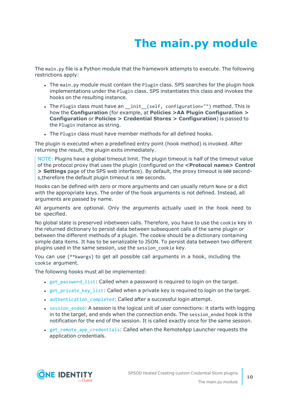# **The main.py module**

<span id="page-9-0"></span>The main.py file is a Python module that the framework attempts to execute. The following restrictions apply:

- The main.py module must contain the Plugin class. SPS searches for the plugin hook implementations under the Plugin class. SPS instantiates this class and invokes the hooks on the resulting instance.
- The Plugin class must have an \_init\_(self, configuration="") method. This is how the **Configuration** (for example, at **Policies >AA Plugin Configuration > Configuration** or **Policies > Credential Stores > Configuration**) is passed to the Plugin instance as string.
- The Plugin class must have member methods for all defined hooks.

The plugin is executed when a predefined entry point (hook method) is invoked. After returning the result, the plugin exits immediately.

NOTE: Plugins have a global timeout limit. The plugin timeout is half of the timeout value of the protocol proxy that uses the plugin (configured on the **<Protocol name> Control > Settings** page of the SPS web interface). By default, the proxy timeout is 600 seconds,therefore the default plugin timeout is 300 seconds.

Hooks can be defined with zero or more arguments and can usually return None or a dict with the appropriate keys. The order of the hook arguments is not defined. Instead, all arguments are passed by name.

All arguments are optional. Only the arguments actually used in the hook need to be specified.

No global state is preserved inbetween calls. Therefore, you have to use the cookie key in the returned dictionary to persist data between subsequent calls of the same plugin or between the different methods of a plugin. The cookie should be a dictionary containing simple data items. It has to be serializable to JSON. To persist data between two different plugins used in the same session, use the session\_cookie key.

You can use (\*\*kwargs) to get all possible call arguments in a hook, including the cookie argument.

The following hooks must all be implemented:

- get password list: Called when a password is required to login on the target.
- [get\\_private\\_key\\_list](#page-13-0): Called when a private key is required to login on the target.
- authentication completed: Called after a successful login attempt.
- session ended: A session is the logical unit of user connections: it starts with logging in to the target, and ends when the connection ends. The session ended hook is the notification for the end of the session. It is called exactly once for the same session.
- get remote app credentials: Called when the RemoteApp Launcher requests the application credentials.

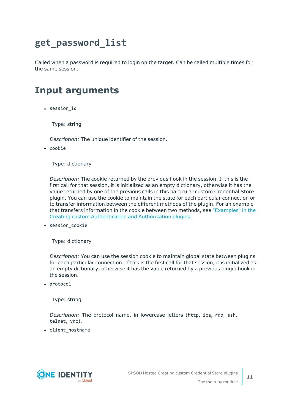## <span id="page-10-0"></span>**get\_password\_list**

Called when a password is required to login on the target. Can be called multiple times for the same session.

## <span id="page-10-1"></span>**Input arguments**

• session id

Type: string

*Description:* The unique identifier of the session.

• cookie

Type: dictionary

*Description:* The cookie returned by the previous hook in the session. If this is the first call for that session, it is initialized as an empty dictionary, otherwise it has the value returned by one of the previous calls in this particular custom Credential Store plugin. You can use the cookie to maintain the state for each particular connection or to transfer information between the different methods of the plugin. For an example that transfers information in the cookie between two methods, see ["Examples"](https://support.oneidentity.com/technical-documents/safeguard-for-privileged-sessions/6.13.1/creating-custom-authentication-and-authorization-plugins/the-main.py-module/examples/) in the Creating custom [Authentication](https://support.oneidentity.com/technical-documents/safeguard-for-privileged-sessions/6.13.1/creating-custom-authentication-and-authorization-plugins/the-main.py-module/examples/) and Authorization plugins.

• session\_cookie

Type: dictionary

*Description:* You can use the session cookie to maintain global state between plugins for each particular connection. If this is the first call for that session, it is initialized as an empty dictionary, otherwise it has the value returned by a previous plugin hook in the session.

• protocol

Type: string

*Description:* The protocol name, in lowercase letters (http, ica, rdp, ssh, telnet, vnc).

• client\_hostname

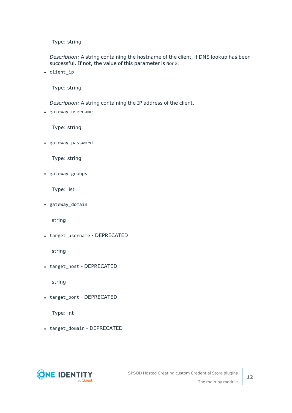Type: string

*Description:* A string containing the hostname of the client, if DNS lookup has been successful. If not, the value of this parameter is None.

• client\_ip

Type: string

*Description:* A string containing the IP address of the client.

• gateway\_username

Type: string

• gateway password

Type: string

• gateway\_groups

Type: list

• gateway\_domain

string

• target\_username - DEPRECATED

string

• target host - DEPRECATED

string

• target\_port - DEPRECATED

Type: int

• target\_domain - DEPRECATED

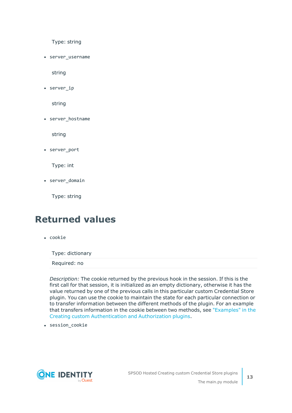Type: string

• server username

string

 $\cdot$  server\_ip

string

• server\_hostname

string

• server port

Type: int

• server domain

Type: string

### <span id="page-12-0"></span>**Returned values**

• cookie

Type: dictionary

Required: no

*Description:* The cookie returned by the previous hook in the session. If this is the first call for that session, it is initialized as an empty dictionary, otherwise it has the value returned by one of the previous calls in this particular custom Credential Store plugin. You can use the cookie to maintain the state for each particular connection or to transfer information between the different methods of the plugin. For an example that transfers information in the cookie between two methods, see ["Examples"](https://support.oneidentity.com/technical-documents/safeguard-for-privileged-sessions/6.13.1/creating-custom-authentication-and-authorization-plugins/the-main.py-module/examples/) in the Creating custom [Authentication](https://support.oneidentity.com/technical-documents/safeguard-for-privileged-sessions/6.13.1/creating-custom-authentication-and-authorization-plugins/the-main.py-module/examples/) and Authorization plugins.

• session\_cookie

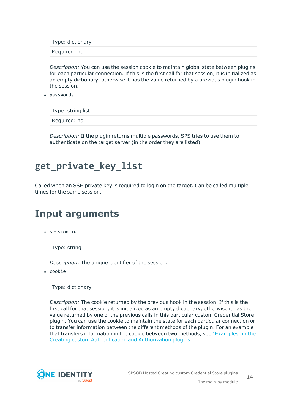Type: dictionary

Required: no

*Description:* You can use the session cookie to maintain global state between plugins for each particular connection. If this is the first call for that session, it is initialized as an empty dictionary, otherwise it has the value returned by a previous plugin hook in the session.

• passwords

Type: string list

Required: no

*Description:* If the plugin returns multiple passwords, SPS tries to use them to authenticate on the target server (in the order they are listed).

## <span id="page-13-0"></span>**get\_private\_key\_list**

Called when an SSH private key is required to login on the target. Can be called multiple times for the same session.

### <span id="page-13-1"></span>**Input arguments**

• session\_id

Type: string

*Description:* The unique identifier of the session.

• cookie

Type: dictionary

*Description:* The cookie returned by the previous hook in the session. If this is the first call for that session, it is initialized as an empty dictionary, otherwise it has the value returned by one of the previous calls in this particular custom Credential Store plugin. You can use the cookie to maintain the state for each particular connection or to transfer information between the different methods of the plugin. For an example that transfers information in the cookie between two methods, see ["Examples"](https://support.oneidentity.com/technical-documents/safeguard-for-privileged-sessions/6.13.1/creating-custom-authentication-and-authorization-plugins/the-main.py-module/examples/) in the Creating custom [Authentication](https://support.oneidentity.com/technical-documents/safeguard-for-privileged-sessions/6.13.1/creating-custom-authentication-and-authorization-plugins/the-main.py-module/examples/) and Authorization plugins.

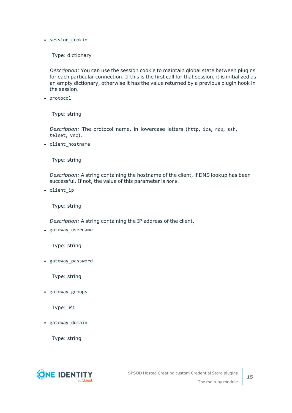• session cookie

Type: dictionary

*Description:* You can use the session cookie to maintain global state between plugins for each particular connection. If this is the first call for that session, it is initialized as an empty dictionary, otherwise it has the value returned by a previous plugin hook in the session.

• protocol

Type: string

*Description:* The protocol name, in lowercase letters (http, ica, rdp, ssh, telnet, vnc).

• client hostname

Type: string

*Description:* A string containing the hostname of the client, if DNS lookup has been successful. If not, the value of this parameter is None.

• client ip

Type: string

*Description:* A string containing the IP address of the client.

• gateway\_username

Type: string

• gateway\_password

Type: string

• gateway\_groups

Type: list

• gateway\_domain

Type: string

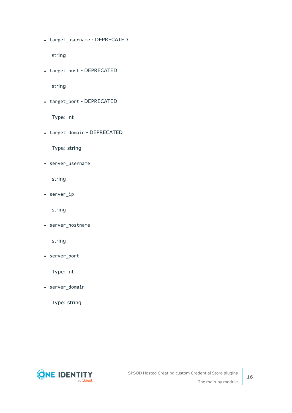• target\_username - DEPRECATED

string

• target\_host - DEPRECATED

string

• target\_port - DEPRECATED

Type: int

• target\_domain - DEPRECATED

Type: string

• server\_username

string

 $\cdot$  server\_ip

string

• server\_hostname

string

• server\_port

Type: int

• server\_domain

Type: string



**16**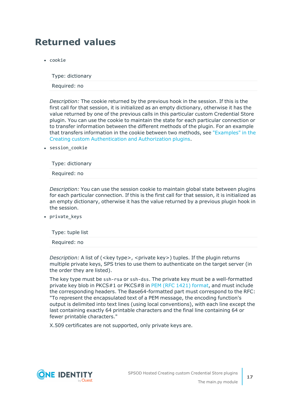## <span id="page-16-0"></span>**Returned values**

 $\cdot$  cookie

Type: dictionary

Required: no

*Description:* The cookie returned by the previous hook in the session. If this is the first call for that session, it is initialized as an empty dictionary, otherwise it has the value returned by one of the previous calls in this particular custom Credential Store plugin. You can use the cookie to maintain the state for each particular connection or to transfer information between the different methods of the plugin. For an example that transfers information in the cookie between two methods, see ["Examples"](https://support.oneidentity.com/technical-documents/safeguard-for-privileged-sessions/6.13.1/creating-custom-authentication-and-authorization-plugins/the-main.py-module/examples/) in the Creating custom [Authentication](https://support.oneidentity.com/technical-documents/safeguard-for-privileged-sessions/6.13.1/creating-custom-authentication-and-authorization-plugins/the-main.py-module/examples/) and Authorization plugins.

• session cookie

Type: dictionary

Required: no

*Description:* You can use the session cookie to maintain global state between plugins for each particular connection. If this is the first call for that session, it is initialized as an empty dictionary, otherwise it has the value returned by a previous plugin hook in the session.

• private\_keys

| Type: tuple list |  |  |  |
|------------------|--|--|--|
| Required: no     |  |  |  |

*Description:* A list of (<key type>, <private key>) tuples. If the plugin returns multiple private keys, SPS tries to use them to authenticate on the target server (in the order they are listed).

The key type must be ssh-rsa or ssh-dss. The private key must be a well-formatted private key blob in PKCS#1 or PKCS#8 in PEM (RFC 1421) [format](https://tools.ietf.org/html/rfc1421), and must include the corresponding headers. The Base64-formatted part must correspond to the RFC: "To represent the encapsulated text of a PEM message, the encoding function's output is delimited into text lines (using local conventions), with each line except the last containing exactly 64 printable characters and the final line containing 64 or fewer printable characters."

X.509 certificates are not supported, only private keys are.

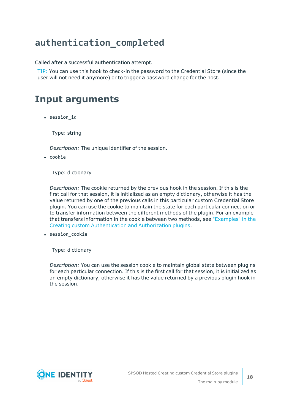## <span id="page-17-0"></span>**authentication\_completed**

Called after a successful authentication attempt.

TIP: You can use this hook to check-in the password to the Credential Store (since the user will not need it anymore) or to trigger a password change for the host.

### <span id="page-17-1"></span>**Input arguments**

• session id

Type: string

*Description:* The unique identifier of the session.

• cookie

Type: dictionary

*Description:* The cookie returned by the previous hook in the session. If this is the first call for that session, it is initialized as an empty dictionary, otherwise it has the value returned by one of the previous calls in this particular custom Credential Store plugin. You can use the cookie to maintain the state for each particular connection or to transfer information between the different methods of the plugin. For an example that transfers information in the cookie between two methods, see ["Examples"](https://support.oneidentity.com/technical-documents/safeguard-for-privileged-sessions/6.13.1/creating-custom-authentication-and-authorization-plugins/the-main.py-module/examples/) in the Creating custom [Authentication](https://support.oneidentity.com/technical-documents/safeguard-for-privileged-sessions/6.13.1/creating-custom-authentication-and-authorization-plugins/the-main.py-module/examples/) and Authorization plugins.

• session\_cookie

Type: dictionary

*Description:* You can use the session cookie to maintain global state between plugins for each particular connection. If this is the first call for that session, it is initialized as an empty dictionary, otherwise it has the value returned by a previous plugin hook in the session.

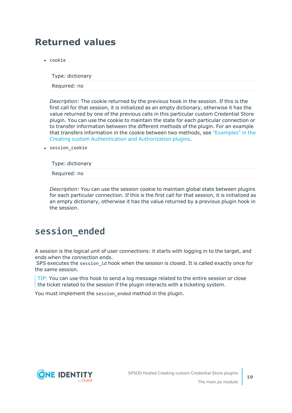## <span id="page-18-0"></span>**Returned values**

• cookie

Type: dictionary

Required: no

*Description:* The cookie returned by the previous hook in the session. If this is the first call for that session, it is initialized as an empty dictionary, otherwise it has the value returned by one of the previous calls in this particular custom Credential Store plugin. You can use the cookie to maintain the state for each particular connection or to transfer information between the different methods of the plugin. For an example that transfers information in the cookie between two methods, see ["Examples"](https://support.oneidentity.com/technical-documents/safeguard-for-privileged-sessions/6.13.1/creating-custom-authentication-and-authorization-plugins/the-main.py-module/examples/) in the Creating custom [Authentication](https://support.oneidentity.com/technical-documents/safeguard-for-privileged-sessions/6.13.1/creating-custom-authentication-and-authorization-plugins/the-main.py-module/examples/) and Authorization plugins.

• session cookie

Type: dictionary

Required: no

*Description:* You can use the session cookie to maintain global state between plugins for each particular connection. If this is the first call for that session, it is initialized as an empty dictionary, otherwise it has the value returned by a previous plugin hook in the session.

## <span id="page-18-1"></span>**session\_ended**

A session is the logical unit of user connections: it starts with logging in to the target, and ends when the connection ends.

SPS executes the session id hook when the session is closed. It is called exactly once for the same session.

TIP: You can use this hook to send a log message related to the entire session or close the ticket related to the session if the plugin interacts with a ticketing system.

You must implement the session\_ended method in the plugin.

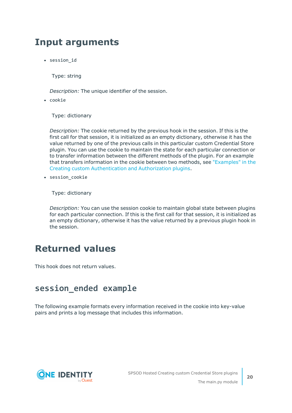### <span id="page-19-0"></span>**Input arguments**

• session id

Type: string

*Description:* The unique identifier of the session.

 $\cdot$  cookie

Type: dictionary

*Description:* The cookie returned by the previous hook in the session. If this is the first call for that session, it is initialized as an empty dictionary, otherwise it has the value returned by one of the previous calls in this particular custom Credential Store plugin. You can use the cookie to maintain the state for each particular connection or to transfer information between the different methods of the plugin. For an example that transfers information in the cookie between two methods, see ["Examples"](https://support.oneidentity.com/technical-documents/safeguard-for-privileged-sessions/6.13.1/creating-custom-authentication-and-authorization-plugins/the-main.py-module/examples/) in the Creating custom [Authentication](https://support.oneidentity.com/technical-documents/safeguard-for-privileged-sessions/6.13.1/creating-custom-authentication-and-authorization-plugins/the-main.py-module/examples/) and Authorization plugins.

• session cookie

Type: dictionary

*Description:* You can use the session cookie to maintain global state between plugins for each particular connection. If this is the first call for that session, it is initialized as an empty dictionary, otherwise it has the value returned by a previous plugin hook in the session.

### <span id="page-19-1"></span>**Returned values**

<span id="page-19-2"></span>This hook does not return values.

### **session\_ended example**

The following example formats every information received in the cookie into key-value pairs and prints a log message that includes this information.

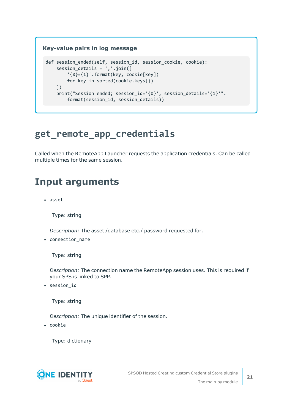### **Key-value pairs in log message** def session ended(self, session id, session cookie, cookie): session details =  $','.join([$ '{0}={1}'.format(key, cookie[key]) for key in sorted(cookie.keys()) ]) print("Session ended; session\_id='{0}', session\_details='{1}'". format(session id, session details))

## <span id="page-20-0"></span>**get\_remote\_app\_credentials**

Called when the RemoteApp Launcher requests the application credentials. Can be called multiple times for the same session.

## <span id="page-20-1"></span>**Input arguments**

• asset

Type: string

*Description:* The asset /database etc./ password requested for.

• connection name

Type: string

*Description:* The connection name the RemoteApp session uses. This is required if your SPS is linked to SPP.

• session\_id

Type: string

*Description:* The unique identifier of the session.

• cookie

Type: dictionary

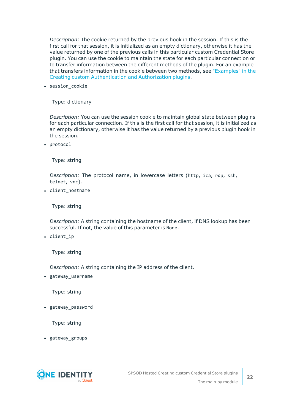*Description:* The cookie returned by the previous hook in the session. If this is the first call for that session, it is initialized as an empty dictionary, otherwise it has the value returned by one of the previous calls in this particular custom Credential Store plugin. You can use the cookie to maintain the state for each particular connection or to transfer information between the different methods of the plugin. For an example that transfers information in the cookie between two methods, see ["Examples"](https://support.oneidentity.com/technical-documents/safeguard-for-privileged-sessions/6.13.1/creating-custom-authentication-and-authorization-plugins/the-main.py-module/examples/) in the Creating custom [Authentication](https://support.oneidentity.com/technical-documents/safeguard-for-privileged-sessions/6.13.1/creating-custom-authentication-and-authorization-plugins/the-main.py-module/examples/) and Authorization plugins.

• session cookie

Type: dictionary

*Description:* You can use the session cookie to maintain global state between plugins for each particular connection. If this is the first call for that session, it is initialized as an empty dictionary, otherwise it has the value returned by a previous plugin hook in the session.

• protocol

Type: string

*Description:* The protocol name, in lowercase letters (http, ica, rdp, ssh, telnet, vnc).

• client\_hostname

Type: string

*Description:* A string containing the hostname of the client, if DNS lookup has been successful. If not, the value of this parameter is None.

• client\_ip

Type: string

*Description:* A string containing the IP address of the client.

• gateway\_username

Type: string

• gateway\_password

Type: string

• gateway\_groups

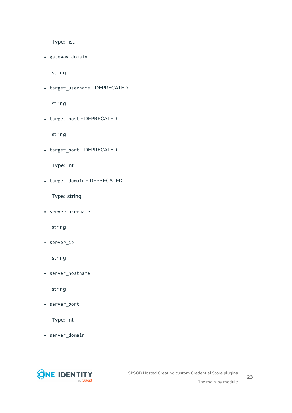Type: list

• gateway\_domain

string

• target\_username - DEPRECATED

string

• target\_host - DEPRECATED

string

• target\_port - DEPRECATED

Type: int

• target\_domain - DEPRECATED

Type: string

• server\_username

string

 $\cdot$  server\_ip

string

• server\_hostname

string

• server\_port

Type: int

• server\_domain

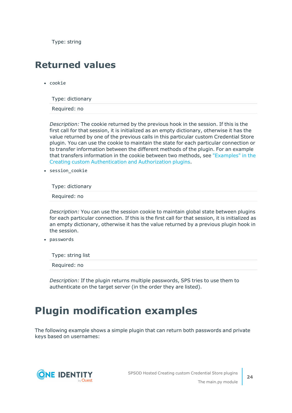Type: string

### <span id="page-23-0"></span>**Returned values**

 $\cdot$  cookie

Type: dictionary

Required: no

*Description:* The cookie returned by the previous hook in the session. If this is the first call for that session, it is initialized as an empty dictionary, otherwise it has the value returned by one of the previous calls in this particular custom Credential Store plugin. You can use the cookie to maintain the state for each particular connection or to transfer information between the different methods of the plugin. For an example that transfers information in the cookie between two methods, see ["Examples"](https://support.oneidentity.com/technical-documents/safeguard-for-privileged-sessions/6.13.1/creating-custom-authentication-and-authorization-plugins/the-main.py-module/examples/) in the Creating custom [Authentication](https://support.oneidentity.com/technical-documents/safeguard-for-privileged-sessions/6.13.1/creating-custom-authentication-and-authorization-plugins/the-main.py-module/examples/) and Authorization plugins.

• session cookie

Type: dictionary

Required: no

*Description:* You can use the session cookie to maintain global state between plugins for each particular connection. If this is the first call for that session, it is initialized as an empty dictionary, otherwise it has the value returned by a previous plugin hook in the session.

• passwords

Type: string list

Required: no

*Description:* If the plugin returns multiple passwords, SPS tries to use them to authenticate on the target server (in the order they are listed).

## <span id="page-23-1"></span>**Plugin modification examples**

The following example shows a simple plugin that can return both passwords and private keys based on usernames:

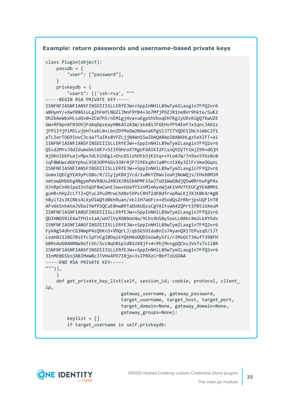#### **Example: return passwords and username-based private keys**

```
class Plugin(object):
    passdb = f"user": ["password"],
    }
    privkeydb = {
        "user1": [('ssh-rsa', """
-----BEGIN RSA PRIVATE KEY-----
ISNFNFIASNFIANSFINSDIIISLLERfEJW++SppInNHlL89wTymILaxgln7FfQ2vr6
aBHymY/+Xwf08GiuLg2hFmfLNGZlJNnF9YB4+3o7MfjPDZJR1ne8Vr9hkte/SuK2
OhZbAeWbxHLsdOv0+ZCm7h5/nEM1gj4va+uKgpShVbxqEH7RglyUDvKUgQ7KwUZE
GW+RPApnXFN3OVjFdAqOpzeayH0kA52A3W/ske81JFGEHvfP54EePJx1qncJAX1z
```

```
jFPllYjPlMSLujbH7sabL0+LbnZDfMxOw2NXwnaKPgVlJ7I7YQDE11NLhiWbC2f1
pTLIerTOG9lovC3caa7TaIRs8VfZLjjNXWnS5wIDAQABAoIBAB6HLgz5eXIFT+ai
ISNFNFIASNFIANSFINSDIIISLLERfEJW++SppInNHlL89wTymILaxgln7FfQ2vr6
QScd2MYvJ9dIdumxbk5dK7+5I3fGHroXTRgUF6AIKI2FCsnQtDyTY1mjZ99+dGjH
AjOKnIbKPuaj+Mpx3dLhlhDgi+DncGSizhOtb3jK1tq++YLoA7W/7n9av5Ybz8c0
iqF0WUwcd6KYphuL9583OPP6Gv33Br4jP729EkqXnJa8PcniX8y3ZlFcVmxOGqnL
ISNFNFIASNFIANSFINSDIIISLLERfEJW++SppInNHlL89wTymILaxgln7FfQ2vr6
UumxiQECgYEA9yPcGBo/R/2IyjyKBXjYcd/1u0kYZRWvloahjNoWQjs/EHvbBMlM
xmtowOHbbEg4BgymPmVR8Ux24B3XJR6SbAPMF15wJ7oD1WwG8djQSw0RrbuPgP4s
OJnRpCn4blpa15n5qUF8wCwnEJow+UUaYY1znMlmAyeWjaK1VHV7tEUCgYEA8MH1
guHR+hHyZcLTT2+QTuL2Pu2MrwLhXNz5hPcCRH72dKBdfrvpRwLKj3XJKBK4r4gN
hByiT2sJKCNks4LkyOlWQtd0khRuan/xkliH7a6Fcx+d5odQsZrRbrjpsUQFlnTB
AFv6kSnhAtmJVDalYWfPSQCuE0nwB9TaDU6UGzsCgYAItvwA4ZQPrtIPB5l6XeuM
ISNFNFIASNFIANSFINSDIIISLLERfEJW++SppInNHlL89wTymILaxgln7FfQ2vr6
QDIHNO5RiE6wTPHlv1aA/wH7lVyXGN9oU4w/9Lbs9US0y5oxLL0Abc4m2LkXYSdv
ISNFNFIASNFIANSFINSDIIISLLERfEJW++SppInNHlL89wTymILaxgln7FfQ2vr6
FykNgS4dhrCG3NmpP4zQbKnS+VDQrLJ/qbSG59Ida8nIs74yanQX17EPuzqD/iJT
LoahB2128G7BiEfcIpFVCgI0OqikYQkM4oOQD3sUw8ySfi/rZMxGtT34uf7398FH
bBRnAoGBANRNw9oTcSh/ScLNqhB1pld81UX8jf+4+9hj9U+gpQCkujVxTs7xil8R
ISNFNFIASNFIANSFINSDIIISLLERfEJW++SppInNHlL89wTymILaxgln7FfQ2vr6
31nME0D1kojABIMeW8cITVHx4PD7I8jp+3sIPRXzCr8bfTzGSOAA
-----END RSA PRIVATE KEY-----
""")],
    }
   def get_private_key_list(self, session_id, cookie, protocol, client_
ip,
                            gateway_username, gateway_password,
                            target_username, target_host, target_port,
```

```
target_domain=None, gateway_domain=None,
gateway_groups=None):
```

```
keylist = []
```

```
if target_username in self.privkeydb:
```
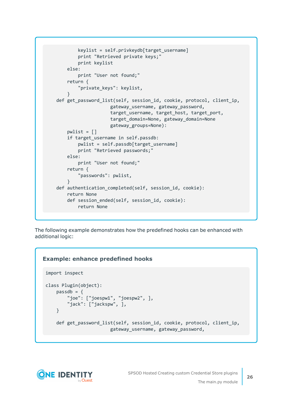```
keylist = self.privkeydb[target_username]
        print "Retrieved private keys;"
        print keylist
    else:
       print "User not found;"
    return {
        "private_keys": keylist,
    }
def get password list(self, session id, cookie, protocol, client ip,
                    gateway username, gateway password,
                    target_username, target_host, target_port,
                    target_domain=None, gateway_domain=None
                    gateway_groups=None):
    pwlist = []if target username in self.passdb:
        pwlist = self.passdb[target_username]
        print "Retrieved passwords;"
    else:
        print "User not found;"
    return {
        "passwords": pwlist,
    }
def authentication completed(self, session id, cookie):
    return None
    def session_ended(self, session_id, cookie):
        return None
```
The following example demonstrates how the predefined hooks can be enhanced with additional logic:

### **Example: enhance predefined hooks**

```
import inspect
class Plugin(object):
    passdb = {"joe": ["joespw1", "joespw2", ],
        "jack": ["jackspw", ],
    }
    def get_password_list(self, session_id, cookie, protocol, client_ip,
                        gateway_username, gateway_password,
```
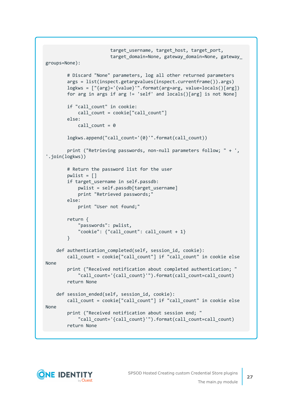```
target_username, target_host, target_port,
                        target domain=None, gateway domain=None, gateway
groups=None):
        # Discard "None" parameters, log all other returned parameters
        args = list(inspect.getargvalues(inspect.currentframe()).args)
        logkws = ["{arg}='{value}'".format(arg=arg, value=locals()[arg])
        for arg in args if arg != 'self' and locals()[arg] is not None]
        if "call_count" in cookie:
            call count = cookie["call count"]
        else:
            call count = 0logkws.append("call_count='{0}'".format(call_count))
        print ("Retrieving passwords, non-null parameters follow; " + ',
'.join(logkws))
        # Return the password list for the user
        pwlist = []if target username in self.passdb:
            pwlist = self.passdb[target_username]
            print "Retrieved passwords;"
        else:
            print "User not found;"
        return {
            "passwords": pwlist,
            "cookie": {"call_count": call_count + 1}
        }
    def authentication_completed(self, session_id, cookie):
        call_count = cookie["call_count"] if "call_count" in cookie else
None
        print ("Received notification about completed authentication; "
            "call_count='{call_count}'").format(call_count=call_count)
        return None
    def session_ended(self, session_id, cookie):
        call_count = cookie["call_count"] if "call_count" in cookie else
None
        print ("Received notification about session end; "
            "call_count='{call_count}'").format(call_count=call_count)
        return None
```
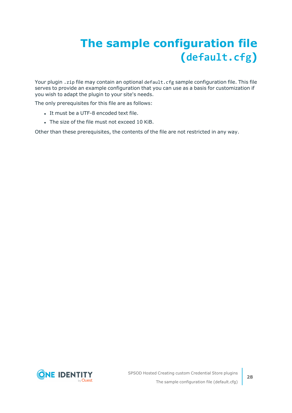# <span id="page-27-0"></span>**The sample configuration file (default.cfg)**

Your plugin . zip file may contain an optional default. cfg sample configuration file. This file serves to provide an example configuration that you can use as a basis for customization if you wish to adapt the plugin to your site's needs.

The only prerequisites for this file are as follows:

- It must be a UTF-8 encoded text file.
- The size of the file must not exceed 10 KiB.

Other than these prerequisites, the contents of the file are not restricted in any way.

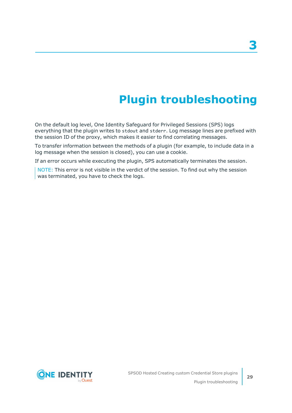# **Plugin troubleshooting**

<span id="page-28-0"></span>On the default log level, One Identity Safeguard for Privileged Sessions (SPS) logs everything that the plugin writes to stdout and stderr. Log message lines are prefixed with the session ID of the proxy, which makes it easier to find correlating messages.

To transfer information between the methods of a plugin (for example, to include data in a log message when the session is closed), you can use a cookie.

If an error occurs while executing the plugin, SPS automatically terminates the session.

NOTE: This error is not visible in the verdict of the session. To find out why the session was terminated, you have to check the logs.



**29**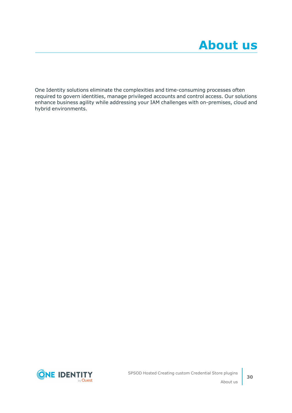<span id="page-29-0"></span>One Identity solutions eliminate the complexities and time-consuming processes often required to govern identities, manage privileged accounts and control access. Our solutions enhance business agility while addressing your IAM challenges with on-premises, cloud and hybrid environments.

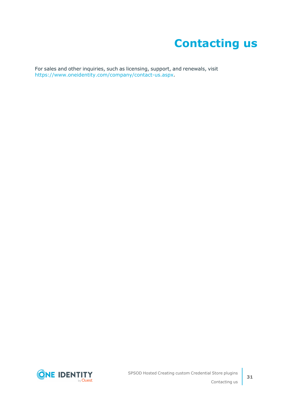# **Contacting us**

<span id="page-30-0"></span>For sales and other inquiries, such as licensing, support, and renewals, visit [https://www.oneidentity.com/company/contact-us.aspx.](https://www.oneidentity.com/company/contact-us.aspx)

**ONE IDENTITY** by **Quest**